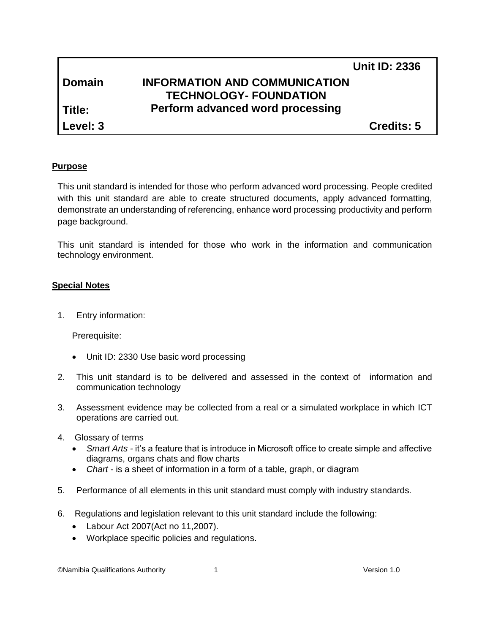|               |                                      | <b>Unit ID: 2336</b> |
|---------------|--------------------------------------|----------------------|
| <b>Domain</b> | <b>INFORMATION AND COMMUNICATION</b> |                      |
|               | <b>TECHNOLOGY- FOUNDATION</b>        |                      |
| l Title:      | Perform advanced word processing     |                      |
| Level: 3      |                                      | <b>Credits: 5</b>    |

## **Purpose**

This unit standard is intended for those who perform advanced word processing. People credited with this unit standard are able to create structured documents, apply advanced formatting, demonstrate an understanding of referencing, enhance word processing productivity and perform page background.

This unit standard is intended for those who work in the information and communication technology environment.

## **Special Notes**

1. Entry information:

Prerequisite:

- Unit ID: 2330 Use basic word processing
- 2. This unit standard is to be delivered and assessed in the context of information and communication technology
- 3. Assessment evidence may be collected from a real or a simulated workplace in which ICT operations are carried out.
- 4. Glossary of terms
	- *Smart Arts -* it's a feature that is introduce in Microsoft office to create simple and affective diagrams, organs chats and flow charts
	- *Chart -* is a sheet of information in a form of a table, graph, or diagram
- 5. Performance of all elements in this unit standard must comply with industry standards.
- 6. Regulations and legislation relevant to this unit standard include the following:
	- Labour Act 2007(Act no 11,2007).
	- Workplace specific policies and regulations.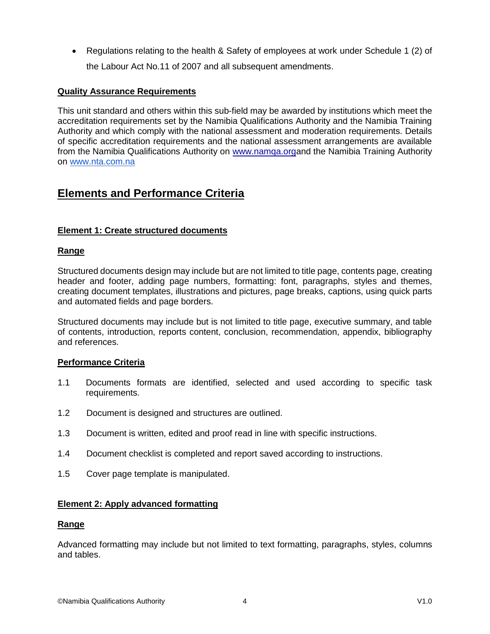• Regulations relating to the health & Safety of employees at work under Schedule 1 (2) of the Labour Act No.11 of 2007 and all subsequent amendments.

## **Quality Assurance Requirements**

This unit standard and others within this sub-field may be awarded by institutions which meet the accreditation requirements set by the Namibia Qualifications Authority and the Namibia Training Authority and which comply with the national assessment and moderation requirements. Details of specific accreditation requirements and the national assessment arrangements are available from the Namibia Qualifications Authority on [www.namqa.orga](http://www.namqa.org/)nd the Namibia Training Authority on [www.nta.com.na](http://www.nta.com.na/)

# **Elements and Performance Criteria**

## **Element 1: Create structured documents**

#### **Range**

Structured documents design may include but are not limited to title page, contents page, creating header and footer, adding page numbers, formatting: font, paragraphs, styles and themes, creating document templates, illustrations and pictures, page breaks, captions, using quick parts and automated fields and page borders.

Structured documents may include but is not limited to title page, executive summary, and table of contents, introduction, reports content, conclusion, recommendation, appendix, bibliography and references.

#### **Performance Criteria**

- 1.1 Documents formats are identified, selected and used according to specific task requirements.
- 1.2 Document is designed and structures are outlined.
- 1.3 Document is written, edited and proof read in line with specific instructions.
- 1.4 Document checklist is completed and report saved according to instructions.
- 1.5 Cover page template is manipulated.

#### **Element 2: Apply advanced formatting**

#### **Range**

Advanced formatting may include but not limited to text formatting, paragraphs, styles, columns and tables.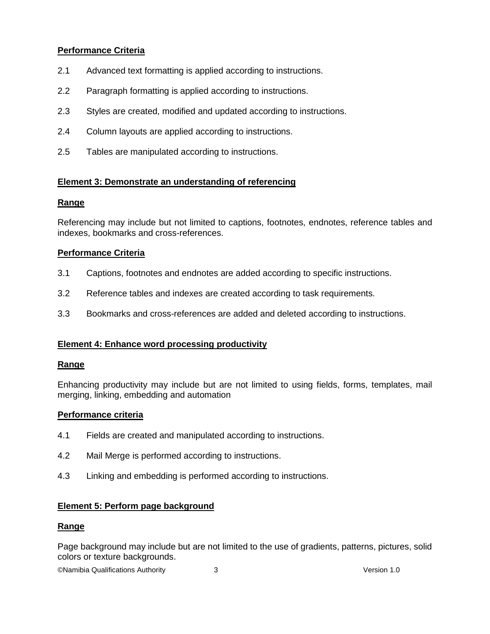## **Performance Criteria**

- 2.1 Advanced text formatting is applied according to instructions.
- 2.2 Paragraph formatting is applied according to instructions.
- 2.3 Styles are created, modified and updated according to instructions.
- 2.4 Column layouts are applied according to instructions.
- 2.5 Tables are manipulated according to instructions.

## **Element 3: Demonstrate an understanding of referencing**

## **Range**

Referencing may include but not limited to captions, footnotes, endnotes, reference tables and indexes, bookmarks and cross-references.

## **Performance Criteria**

- 3.1 Captions, footnotes and endnotes are added according to specific instructions.
- 3.2 Reference tables and indexes are created according to task requirements.
- 3.3 Bookmarks and cross-references are added and deleted according to instructions.

## **Element 4: Enhance word processing productivity**

#### **Range**

Enhancing productivity may include but are not limited to using fields, forms, templates, mail merging, linking, embedding and automation

#### **Performance criteria**

- 4.1 Fields are created and manipulated according to instructions.
- 4.2 Mail Merge is performed according to instructions.
- 4.3 Linking and embedding is performed according to instructions.

## **Element 5: Perform page background**

#### **Range**

Page background may include but are not limited to the use of gradients, patterns, pictures, solid colors or texture backgrounds.

©Namibia Qualifications Authority 3 Version 1.0